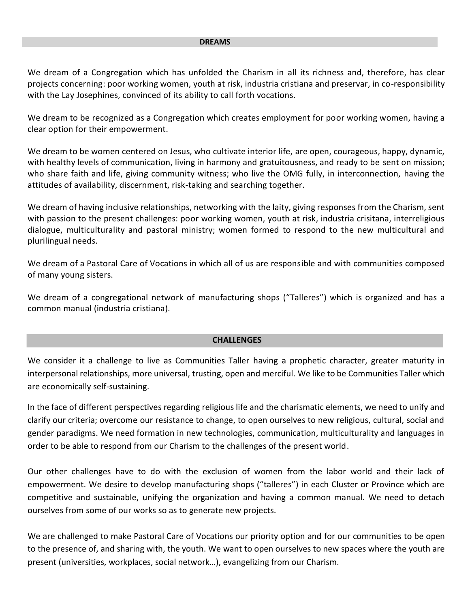#### **DREAMS**

We dream of a Congregation which has unfolded the Charism in all its richness and, therefore, has clear projects concerning: poor working women, youth at risk, industria cristiana and preservar, in co-responsibility with the Lay Josephines, convinced of its ability to call forth vocations.

We dream to be recognized as a Congregation which creates employment for poor working women, having a clear option for their empowerment.

We dream to be women centered on Jesus, who cultivate interior life, are open, courageous, happy, dynamic, with healthy levels of communication, living in harmony and gratuitousness, and ready to be sent on mission; who share faith and life, giving community witness; who live the OMG fully, in interconnection, having the attitudes of availability, discernment, risk-taking and searching together.

We dream of having inclusive relationships, networking with the laity, giving responses from the Charism, sent with passion to the present challenges: poor working women, youth at risk, industria crisitana, interreligious dialogue, multiculturality and pastoral ministry; women formed to respond to the new multicultural and plurilingual needs.

We dream of a Pastoral Care of Vocations in which all of us are responsible and with communities composed of many young sisters.

We dream of a congregational network of manufacturing shops ("Talleres") which is organized and has a common manual (industria cristiana).

#### **CHALLENGES**

We consider it a challenge to live as Communities Taller having a prophetic character, greater maturity in interpersonal relationships, more universal, trusting, open and merciful. We like to be Communities Taller which are economically self-sustaining.

In the face of different perspectives regarding religious life and the charismatic elements, we need to unify and clarify our criteria; overcome our resistance to change, to open ourselves to new religious, cultural, social and gender paradigms. We need formation in new technologies, communication, multiculturality and languages in order to be able to respond from our Charism to the challenges of the present world.

Our other challenges have to do with the exclusion of women from the labor world and their lack of empowerment. We desire to develop manufacturing shops ("talleres") in each Cluster or Province which are competitive and sustainable, unifying the organization and having a common manual. We need to detach ourselves from some of our works so as to generate new projects.

We are challenged to make Pastoral Care of Vocations our priority option and for our communities to be open to the presence of, and sharing with, the youth. We want to open ourselves to new spaces where the youth are present (universities, workplaces, social network…), evangelizing from our Charism.